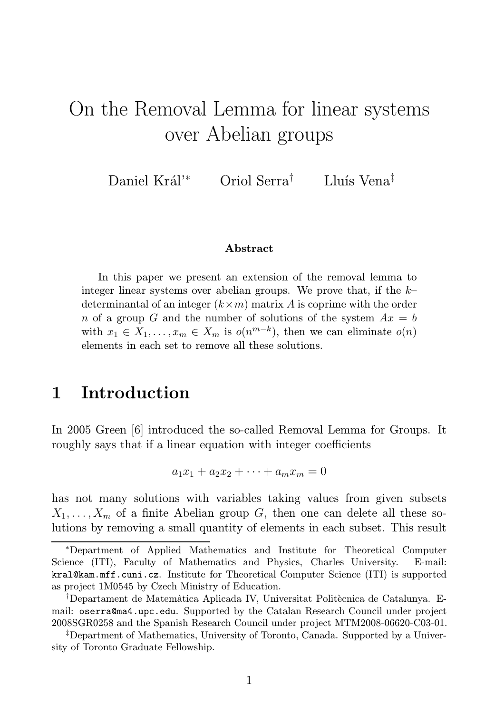# On the Removal Lemma for linear systems over Abelian groups

Daniel Král'<sup>∗</sup> Oriol Serra† Lluís Vena‡

#### Abstract

In this paper we present an extension of the removal lemma to integer linear systems over abelian groups. We prove that, if the  $k$ determinantal of an integer  $(k \times m)$  matrix A is coprime with the order n of a group G and the number of solutions of the system  $Ax = b$ with  $x_1 \in X_1, \ldots, x_m \in X_m$  is  $o(n^{m-k})$ , then we can eliminate  $o(n)$ elements in each set to remove all these solutions.

## 1 Introduction

In 2005 Green [6] introduced the so-called Removal Lemma for Groups. It roughly says that if a linear equation with integer coefficients

$$
a_1x_1 + a_2x_2 + \dots + a_mx_m = 0
$$

has not many solutions with variables taking values from given subsets  $X_1, \ldots, X_m$  of a finite Abelian group G, then one can delete all these solutions by removing a small quantity of elements in each subset. This result

<sup>∗</sup>Department of Applied Mathematics and Institute for Theoretical Computer Science (ITI), Faculty of Mathematics and Physics, Charles University. E-mail: kral@kam.mff.cuni.cz. Institute for Theoretical Computer Science (ITI) is supported as project 1M0545 by Czech Ministry of Education.

<sup>&</sup>lt;sup>†</sup>Departament de Matemàtica Aplicada IV, Universitat Politècnica de Catalunya. Email: oserra@ma4.upc.edu. Supported by the Catalan Research Council under project 2008SGR0258 and the Spanish Research Council under project MTM2008-06620-C03-01.

<sup>‡</sup>Department of Mathematics, University of Toronto, Canada. Supported by a University of Toronto Graduate Fellowship.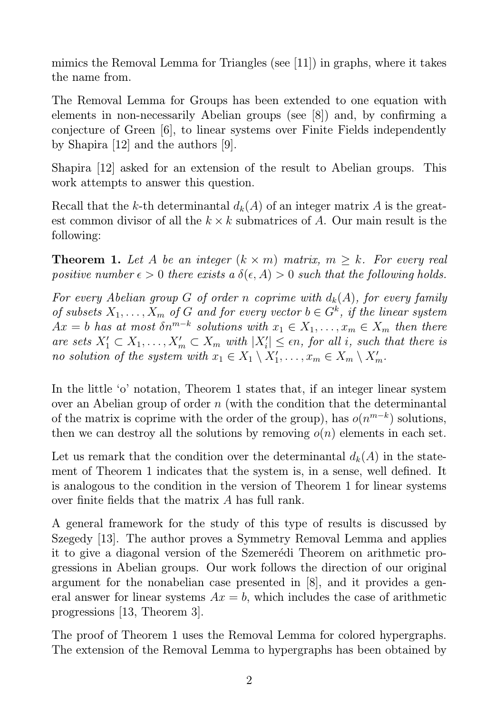mimics the Removal Lemma for Triangles (see [11]) in graphs, where it takes the name from.

The Removal Lemma for Groups has been extended to one equation with elements in non-necessarily Abelian groups (see [8]) and, by confirming a conjecture of Green [6], to linear systems over Finite Fields independently by Shapira [12] and the authors [9].

Shapira [12] asked for an extension of the result to Abelian groups. This work attempts to answer this question.

Recall that the k-th determinantal  $d_k(A)$  of an integer matrix A is the greatest common divisor of all the  $k \times k$  submatrices of A. Our main result is the following:

**Theorem 1.** Let A be an integer  $(k \times m)$  matrix,  $m \geq k$ . For every real positive number  $\epsilon > 0$  there exists a  $\delta(\epsilon, A) > 0$  such that the following holds.

For every Abelian group G of order n coprime with  $d_k(A)$ , for every family of subsets  $X_1, \ldots, X_m$  of G and for every vector  $b \in G^k$ , if the linear system  $Ax = b$  has at most  $\delta n^{m-k}$  solutions with  $x_1 \in X_1, \ldots, x_m \in X_m$  then there are sets  $X'_1 \subset X_1, \ldots, X'_m \subset X_m$  with  $|X'_i| \leq \epsilon n$ , for all i, such that there is no solution of the system with  $x_1 \in X_1 \setminus X'_1, \ldots, x_m \in X_m \setminus X'_m$ .

In the little 'o' notation, Theorem 1 states that, if an integer linear system over an Abelian group of order  $n$  (with the condition that the determinantal of the matrix is coprime with the order of the group), has  $o(n^{m-k})$  solutions, then we can destroy all the solutions by removing  $o(n)$  elements in each set.

Let us remark that the condition over the determinantal  $d_k(A)$  in the statement of Theorem 1 indicates that the system is, in a sense, well defined. It is analogous to the condition in the version of Theorem 1 for linear systems over finite fields that the matrix A has full rank.

A general framework for the study of this type of results is discussed by Szegedy [13]. The author proves a Symmetry Removal Lemma and applies it to give a diagonal version of the Szemerédi Theorem on arithmetic progressions in Abelian groups. Our work follows the direction of our original argument for the nonabelian case presented in [8], and it provides a general answer for linear systems  $Ax = b$ , which includes the case of arithmetic progressions [13, Theorem 3].

The proof of Theorem 1 uses the Removal Lemma for colored hypergraphs. The extension of the Removal Lemma to hypergraphs has been obtained by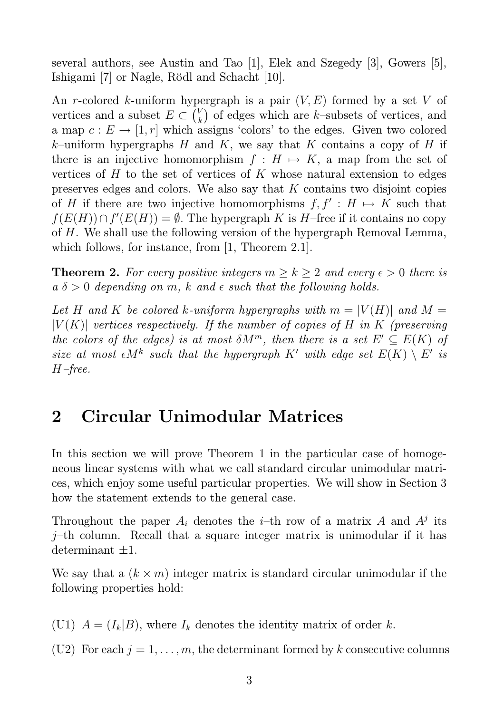several authors, see Austin and Tao [1], Elek and Szegedy [3], Gowers [5], Ishigami [7] or Nagle, Rödl and Schacht [10].

An r-colored k-uniform hypergraph is a pair  $(V, E)$  formed by a set V of vertices and a subset  $E \subset {V_k \choose k}$  $\binom{V}{k}$  of edges which are k–subsets of vertices, and a map  $c: E \to [1, r]$  which assigns 'colors' to the edges. Given two colored k–uniform hypergraphs H and K, we say that K contains a copy of H if there is an injective homomorphism  $f : H \mapsto K$ , a map from the set of vertices of  $H$  to the set of vertices of  $K$  whose natural extension to edges preserves edges and colors. We also say that K contains two disjoint copies of H if there are two injective homomorphisms  $f, f' : H \mapsto K$  such that  $f(E(H)) \cap f'(E(H)) = \emptyset$ . The hypergraph K is H–free if it contains no copy of H. We shall use the following version of the hypergraph Removal Lemma, which follows, for instance, from [1, Theorem 2.1].

**Theorem 2.** For every positive integers  $m \geq k \geq 2$  and every  $\epsilon > 0$  there is  $a \delta > 0$  depending on m, k and  $\epsilon$  such that the following holds.

Let H and K be colored k-uniform hypergraphs with  $m = |V(H)|$  and  $M =$  $|V(K)|$  vertices respectively. If the number of copies of H in K (preserving the colors of the edges) is at most  $\delta M^m$ , then there is a set  $E' \subseteq E(K)$  of size at most  $\epsilon M^k$  such that the hypergraph K' with edge set  $E(K) \setminus E'$  is H–free.

# 2 Circular Unimodular Matrices

In this section we will prove Theorem 1 in the particular case of homogeneous linear systems with what we call standard circular unimodular matrices, which enjoy some useful particular properties. We will show in Section 3 how the statement extends to the general case.

Throughout the paper  $A_i$  denotes the *i*-th row of a matrix A and  $A^j$  its j–th column. Recall that a square integer matrix is unimodular if it has determinant  $\pm 1$ .

We say that a  $(k \times m)$  integer matrix is standard circular unimodular if the following properties hold:

(U1)  $A = (I_k|B)$ , where  $I_k$  denotes the identity matrix of order k.

(U2) For each  $j = 1, \ldots, m$ , the determinant formed by k consecutive columns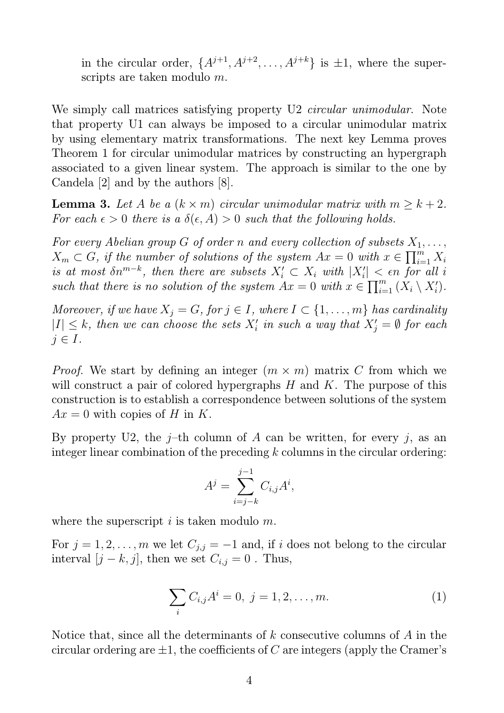in the circular order,  $\{A^{j+1}, A^{j+2}, \ldots, A^{j+k}\}$  is  $\pm 1$ , where the superscripts are taken modulo m.

We simply call matrices satisfying property U2 *circular unimodular*. Note that property U1 can always be imposed to a circular unimodular matrix by using elementary matrix transformations. The next key Lemma proves Theorem 1 for circular unimodular matrices by constructing an hypergraph associated to a given linear system. The approach is similar to the one by Candela [2] and by the authors [8].

**Lemma 3.** Let A be a  $(k \times m)$  circular unimodular matrix with  $m \geq k+2$ . For each  $\epsilon > 0$  there is a  $\delta(\epsilon, A) > 0$  such that the following holds.

For every Abelian group G of order n and every collection of subsets  $X_1, \ldots,$  $X_m \subset G$ , if the number of solutions of the system  $Ax = 0$  with  $x \in \prod_{i=1}^m X_i$ is at most  $\delta n^{m-k}$ , then there are subsets  $X_i' \subset X_i$  with  $|X_i'| < \epsilon n$  for all i such that there is no solution of the system  $Ax = 0$  with  $x \in \prod_{i=1}^m (X_i \setminus X'_i)$ .

Moreover, if we have  $X_j = G$ , for  $j \in I$ , where  $I \subset \{1, \ldots, m\}$  has cardinality  $|I| \leq k$ , then we can choose the sets  $X_i'$  in such a way that  $X_j' = \emptyset$  for each  $j \in I$ .

*Proof.* We start by defining an integer  $(m \times m)$  matrix C from which we will construct a pair of colored hypergraphs  $H$  and  $K$ . The purpose of this construction is to establish a correspondence between solutions of the system  $Ax = 0$  with copies of H in K.

By property U2, the j–th column of A can be written, for every j, as an integer linear combination of the preceding  $k$  columns in the circular ordering:

$$
A^j = \sum_{i=j-k}^{j-1} C_{i,j} A^i,
$$

where the superscript  $i$  is taken modulo  $m$ .

For  $j = 1, 2, \ldots, m$  we let  $C_{j,j} = -1$  and, if i does not belong to the circular interval  $[j - k, j]$ , then we set  $C_{i,j} = 0$ . Thus,

$$
\sum_{i} C_{i,j} A^{i} = 0, \ j = 1, 2, \dots, m.
$$
 (1)

Notice that, since all the determinants of  $k$  consecutive columns of  $A$  in the circular ordering are  $\pm 1$ , the coefficients of C are integers (apply the Cramer's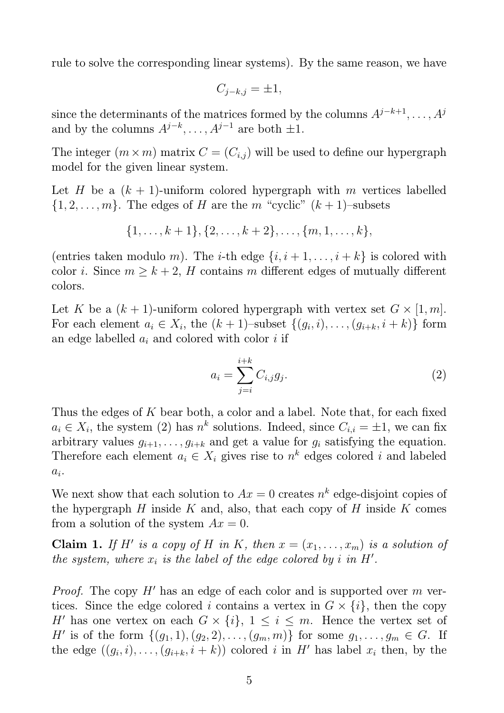rule to solve the corresponding linear systems). By the same reason, we have

$$
C_{j-k,j} = \pm 1,
$$

since the determinants of the matrices formed by the columns  $A^{j-k+1}, \ldots, A^j$ and by the columns  $A^{j-k}, \ldots, A^{j-1}$  are both  $\pm 1$ .

The integer  $(m \times m)$  matrix  $C = (C_{i,j})$  will be used to define our hypergraph model for the given linear system.

Let H be a  $(k + 1)$ -uniform colored hypergraph with m vertices labelled  $\{1, 2, \ldots, m\}$ . The edges of H are the m "cyclic"  $(k + 1)$ -subsets

$$
\{1,\ldots,k+1\},\{2,\ldots,k+2\},\ldots,\{m,1,\ldots,k\},
$$

(entries taken modulo m). The *i*-th edge  $\{i, i+1, \ldots, i+k\}$  is colored with color *i*. Since  $m \geq k + 2$ , *H* contains *m* different edges of mutually different colors.

Let K be a  $(k + 1)$ -uniform colored hypergraph with vertex set  $G \times [1, m]$ . For each element  $a_i \in X_i$ , the  $(k+1)$ -subset  $\{(g_i, i), \ldots, (g_{i+k}, i+k)\}\$ form an edge labelled  $a_i$  and colored with color i if

$$
a_i = \sum_{j=i}^{i+k} C_{i,j} g_j.
$$
\n
$$
(2)
$$

Thus the edges of  $K$  bear both, a color and a label. Note that, for each fixed  $a_i \in X_i$ , the system (2) has  $n^k$  solutions. Indeed, since  $C_{i,i} = \pm 1$ , we can fix arbitrary values  $g_{i+1}, \ldots, g_{i+k}$  and get a value for  $g_i$  satisfying the equation. Therefore each element  $a_i \in X_i$  gives rise to  $n^k$  edges colored i and labeled  $a_i$ .

We next show that each solution to  $Ax = 0$  creates  $n^k$  edge-disjoint copies of the hypergraph H inside K and, also, that each copy of H inside K comes from a solution of the system  $Ax = 0$ .

**Claim 1.** If H' is a copy of H in K, then  $x = (x_1, \ldots, x_m)$  is a solution of the system, where  $x_i$  is the label of the edge colored by i in  $H'$ .

*Proof.* The copy  $H'$  has an edge of each color and is supported over m vertices. Since the edge colored i contains a vertex in  $G \times \{i\}$ , then the copy H' has one vertex on each  $G \times \{i\}$ ,  $1 \leq i \leq m$ . Hence the vertex set of H' is of the form  $\{(g_1, 1), (g_2, 2), \ldots, (g_m, m)\}\)$  for some  $g_1, \ldots, g_m \in G$ . If the edge  $((g_i, i), \ldots, (g_{i+k}, i+k))$  colored i in H' has label  $x_i$  then, by the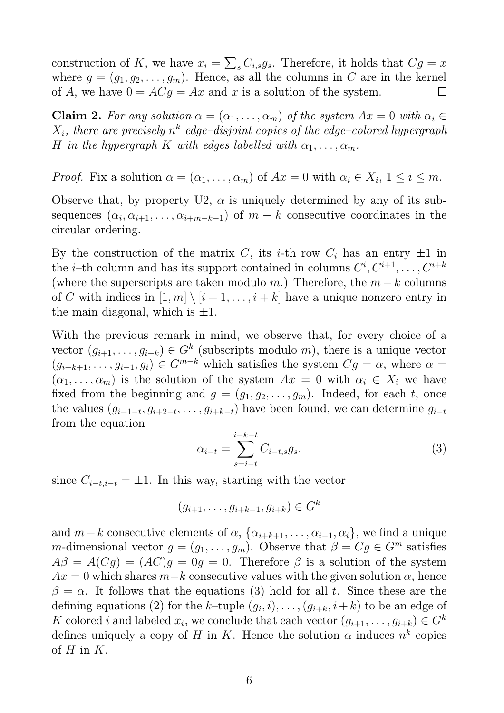construction of K, we have  $x_i = \sum_s C_{i,s} g_s$ . Therefore, it holds that  $Cg = x$ where  $g = (g_1, g_2, \dots, g_m)$ . Hence, as all the columns in C are in the kernel of A, we have  $0 = ACg = Ax$  and x is a solution of the system.  $\Box$ 

**Claim 2.** For any solution  $\alpha = (\alpha_1, \ldots, \alpha_m)$  of the system  $Ax = 0$  with  $\alpha_i \in$  $X_i,$  there are precisely  $n^k$  edge-disjoint copies of the edge-colored hypergraph H in the hypergraph K with edges labelled with  $\alpha_1, \ldots, \alpha_m$ .

*Proof.* Fix a solution  $\alpha = (\alpha_1, \dots, \alpha_m)$  of  $Ax = 0$  with  $\alpha_i \in X_i$ ,  $1 \le i \le m$ .

Observe that, by property U2,  $\alpha$  is uniquely determined by any of its subsequences  $(\alpha_i, \alpha_{i+1}, \ldots, \alpha_{i+m-k-1})$  of  $m-k$  consecutive coordinates in the circular ordering.

By the construction of the matrix C, its *i*-th row  $C_i$  has an entry  $\pm 1$  in the *i*-th column and has its support contained in columns  $C^i, C^{i+1}, \ldots, C^{i+k}$ (where the superscripts are taken modulo m.) Therefore, the  $m - k$  columns of C with indices in  $[1, m] \setminus [i + 1, \ldots, i + k]$  have a unique nonzero entry in the main diagonal, which is  $\pm 1$ .

With the previous remark in mind, we observe that, for every choice of a vector  $(g_{i+1},...,g_{i+k}) \in G^k$  (subscripts modulo m), there is a unique vector  $(g_{i+k+1}, \ldots, g_{i-1}, g_i) \in G^{m-k}$  which satisfies the system  $Cg = \alpha$ , where  $\alpha =$  $(\alpha_1, \ldots, \alpha_m)$  is the solution of the system  $Ax = 0$  with  $\alpha_i \in X_i$  we have fixed from the beginning and  $g = (g_1, g_2, \ldots, g_m)$ . Indeed, for each t, once the values  $(g_{i+1-t}, g_{i+2-t}, \ldots, g_{i+k-t})$  have been found, we can determine  $g_{i-t}$ from the equation

$$
\alpha_{i-t} = \sum_{s=i-t}^{i+k-t} C_{i-t,s} g_s,\tag{3}
$$

since  $C_{i-t,i-t} = \pm 1$ . In this way, starting with the vector

$$
(g_{i+1},\ldots,g_{i+k-1},g_{i+k})\in G^k
$$

and  $m-k$  consecutive elements of  $\alpha$ ,  $\{\alpha_{i+k+1}, \ldots, \alpha_{i-1}, \alpha_i\}$ , we find a unique m-dimensional vector  $g = (g_1, \ldots, g_m)$ . Observe that  $\beta = Cg \in G^m$  satisfies  $A\beta = A(Cg) = (AC)g = 0g = 0$ . Therefore  $\beta$  is a solution of the system  $Ax = 0$  which shares  $m-k$  consecutive values with the given solution  $\alpha$ , hence  $\beta = \alpha$ . It follows that the equations (3) hold for all t. Since these are the defining equations (2) for the k-tuple  $(g_i, i), \ldots, (g_{i+k}, i+k)$  to be an edge of K colored i and labeled  $x_i$ , we conclude that each vector  $(g_{i+1}, \ldots, g_{i+k}) \in G^k$ defines uniquely a copy of H in K. Hence the solution  $\alpha$  induces  $n^k$  copies of  $H$  in  $K$ .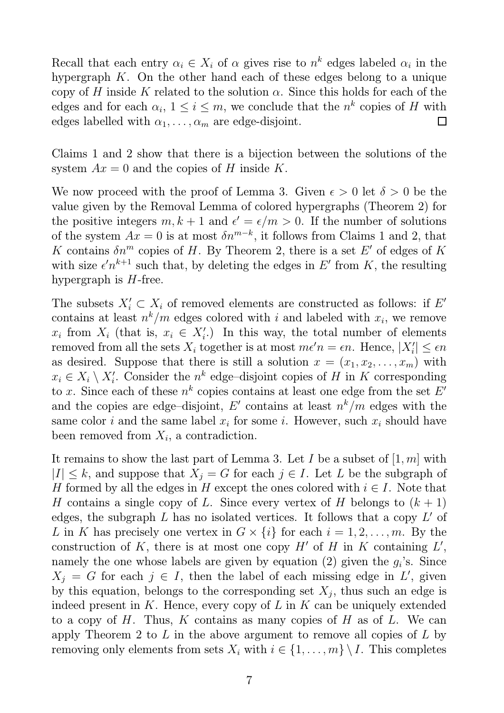Recall that each entry  $\alpha_i \in X_i$  of  $\alpha$  gives rise to  $n^k$  edges labeled  $\alpha_i$  in the hypergraph  $K$ . On the other hand each of these edges belong to a unique copy of H inside K related to the solution  $\alpha$ . Since this holds for each of the edges and for each  $\alpha_i$ ,  $1 \leq i \leq m$ , we conclude that the  $n^k$  copies of H with edges labelled with  $\alpha_1, \ldots, \alpha_m$  are edge-disjoint.  $\Box$ 

Claims 1 and 2 show that there is a bijection between the solutions of the system  $Ax = 0$  and the copies of H inside K.

We now proceed with the proof of Lemma 3. Given  $\epsilon > 0$  let  $\delta > 0$  be the value given by the Removal Lemma of colored hypergraphs (Theorem 2) for the positive integers  $m, k+1$  and  $\epsilon' = \epsilon/m > 0$ . If the number of solutions of the system  $Ax = 0$  is at most  $\delta n^{m-k}$ , it follows from Claims 1 and 2, that K contains  $\delta n^m$  copies of H. By Theorem 2, there is a set E' of edges of K with size  $\epsilon' n^{k+1}$  such that, by deleting the edges in E' from K, the resulting hypergraph is  $H$ -free.

The subsets  $X'_i \subset X_i$  of removed elements are constructed as follows: if E' contains at least  $n^k/m$  edges colored with i and labeled with  $x_i$ , we remove  $x_i$  from  $X_i$  (that is,  $x_i \in X'_i$ .) In this way, the total number of elements removed from all the sets  $X_i$  together is at most  $m\epsilon'n = \epsilon n$ . Hence,  $|X'_i| \leq \epsilon n$ as desired. Suppose that there is still a solution  $x = (x_1, x_2, \ldots, x_m)$  with  $x_i \in X_i \setminus X'_i$ . Consider the  $n^k$  edge-disjoint copies of H in K corresponding to x. Since each of these  $n^k$  copies contains at least one edge from the set  $E'$ and the copies are edge-disjoint, E' contains at least  $n^k/m$  edges with the same color *i* and the same label  $x_i$  for some *i*. However, such  $x_i$  should have been removed from  $X_i$ , a contradiction.

It remains to show the last part of Lemma 3. Let I be a subset of  $[1, m]$  with  $|I| \leq k$ , and suppose that  $X_i = G$  for each  $j \in I$ . Let L be the subgraph of H formed by all the edges in H except the ones colored with  $i \in I$ . Note that H contains a single copy of L. Since every vertex of H belongs to  $(k + 1)$ edges, the subgraph  $L$  has no isolated vertices. It follows that a copy  $L'$  of L in K has precisely one vertex in  $G \times \{i\}$  for each  $i = 1, 2, \ldots, m$ . By the construction of K, there is at most one copy  $H'$  of H in K containing  $L'$ , namely the one whose labels are given by equation  $(2)$  given the  $g_i$ 's. Since  $X_j = G$  for each  $j \in I$ , then the label of each missing edge in L', given by this equation, belongs to the corresponding set  $X_j$ , thus such an edge is indeed present in K. Hence, every copy of  $L$  in  $K$  can be uniquely extended to a copy of H. Thus, K contains as many copies of H as of L. We can apply Theorem 2 to  $L$  in the above argument to remove all copies of  $L$  by removing only elements from sets  $X_i$  with  $i \in \{1, \ldots, m\} \setminus I$ . This completes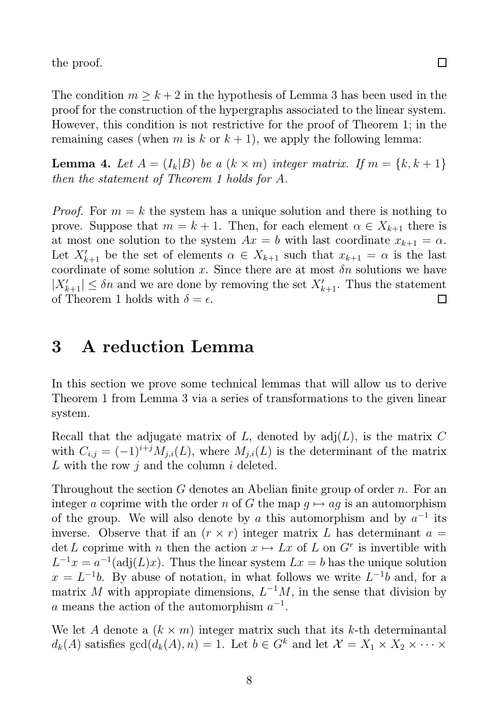the proof.

The condition  $m \geq k+2$  in the hypothesis of Lemma 3 has been used in the proof for the construction of the hypergraphs associated to the linear system. However, this condition is not restrictive for the proof of Theorem 1; in the remaining cases (when m is k or  $k + 1$ ), we apply the following lemma:

**Lemma 4.** Let  $A = (I_k | B)$  be a  $(k \times m)$  integer matrix. If  $m = \{k, k+1\}$ then the statement of Theorem 1 holds for A.

*Proof.* For  $m = k$  the system has a unique solution and there is nothing to prove. Suppose that  $m = k + 1$ . Then, for each element  $\alpha \in X_{k+1}$  there is at most one solution to the system  $Ax = b$  with last coordinate  $x_{k+1} = \alpha$ . Let  $X'_{k+1}$  be the set of elements  $\alpha \in X_{k+1}$  such that  $x_{k+1} = \alpha$  is the last coordinate of some solution x. Since there are at most  $\delta n$  solutions we have  $|X'_{k+1}| \leq \delta n$  and we are done by removing the set  $X'_{k+1}$ . Thus the statement of Theorem 1 holds with  $\delta = \epsilon$ .  $\Box$ 

# 3 A reduction Lemma

In this section we prove some technical lemmas that will allow us to derive Theorem 1 from Lemma 3 via a series of transformations to the given linear system.

Recall that the adjugate matrix of  $L$ , denoted by  $adj(L)$ , is the matrix  $C$ with  $C_{i,j} = (-1)^{i+j} M_{j,i}(L)$ , where  $M_{j,i}(L)$  is the determinant of the matrix L with the row  $j$  and the column  $i$  deleted.

Throughout the section G denotes an Abelian finite group of order n. For an integer a coprime with the order n of G the map  $g \mapsto ag$  is an automorphism of the group. We will also denote by a this automorphism and by  $a^{-1}$  its inverse. Observe that if an  $(r \times r)$  integer matrix L has determinant  $a =$ det L coprime with n then the action  $x \mapsto Lx$  of L on  $G<sup>r</sup>$  is invertible with  $L^{-1}x = a^{-1}(\text{adj}(L)x)$ . Thus the linear system  $Lx = b$  has the unique solution  $x = L^{-1}b$ . By abuse of notation, in what follows we write  $L^{-1}b$  and, for a matrix M with appropiate dimensions,  $L^{-1}M$ , in the sense that division by a means the action of the automorphism  $a^{-1}$ .

We let A denote a  $(k \times m)$  integer matrix such that its k-th determinantal  $d_k(A)$  satisfies  $gcd(d_k(A), n) = 1$ . Let  $b \in G^k$  and let  $\mathcal{X} = X_1 \times X_2 \times \cdots \times$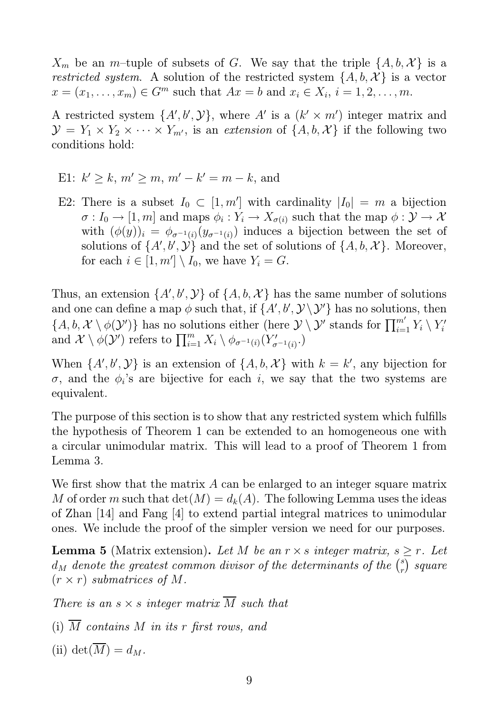$X_m$  be an m-tuple of subsets of G. We say that the triple  $\{A, b, \mathcal{X}\}\$ is a restricted system. A solution of the restricted system  $\{A, b, \mathcal{X}\}\$ is a vector  $x = (x_1, ..., x_m) \in G^m$  such that  $Ax = b$  and  $x_i \in X_i$ ,  $i = 1, 2, ..., m$ .

A restricted system  $\{A', b', Y\}$ , where A' is a  $(k' \times m')$  integer matrix and  $\mathcal{Y} = Y_1 \times Y_2 \times \cdots \times Y_{m'}$ , is an extension of  $\{A, b, \mathcal{X}\}\$ if the following two conditions hold:

- E1:  $k' \ge k$ ,  $m' \ge m$ ,  $m' k' = m k$ , and
- E2: There is a subset  $I_0 \subset [1, m']$  with cardinality  $|I_0| = m$  a bijection  $\sigma: I_0 \to [1, m]$  and maps  $\phi_i: Y_i \to X_{\sigma(i)}$  such that the map  $\phi: \mathcal{Y} \to \mathcal{X}$ with  $(\phi(y))_i = \phi_{\sigma^{-1}(i)}(y_{\sigma^{-1}(i)})$  induces a bijection between the set of solutions of  $\{A', b', \mathcal{Y}\}$  and the set of solutions of  $\{A, b, \mathcal{X}\}$ . Moreover, for each  $i \in [1, m'] \setminus I_0$ , we have  $Y_i = G$ .

Thus, an extension  $\{A', b', \mathcal{Y}\}\$  of  $\{A, b, \mathcal{X}\}\$  has the same number of solutions and one can define a map  $\phi$  such that, if  $\{A', b', \mathcal{Y} \setminus \mathcal{Y}'\}$  has no solutions, then  $\{A, b, \mathcal{X} \setminus \phi(\mathcal{Y}')\}$  has no solutions either (here  $\mathcal{Y} \setminus \mathcal{Y}'$  stands for  $\prod_{i=1}^{m'} Y_i \setminus Y'_i$ i and  $\mathcal{X} \setminus \phi(\mathcal{Y}')$  refers to  $\prod_{i=1}^m X_i \setminus \phi_{\sigma^{-1}(i)}(Y'_{\sigma})$  $\binom{7}{\sigma^{-1}(i)}$ .

When  $\{A', b', Y\}$  is an extension of  $\{A, b, \mathcal{X}\}\$  with  $k = k'$ , any bijection for  $\sigma$ , and the  $\phi_i$ 's are bijective for each i, we say that the two systems are equivalent.

The purpose of this section is to show that any restricted system which fulfills the hypothesis of Theorem 1 can be extended to an homogeneous one with a circular unimodular matrix. This will lead to a proof of Theorem 1 from Lemma 3.

We first show that the matrix A can be enlarged to an integer square matrix M of order m such that  $\det(M) = d_k(A)$ . The following Lemma uses the ideas of Zhan [14] and Fang [4] to extend partial integral matrices to unimodular ones. We include the proof of the simpler version we need for our purposes.

**Lemma 5** (Matrix extension). Let M be an  $r \times s$  integer matrix,  $s \geq r$ . Let  $d_M$  denote the greatest common divisor of the determinants of the  $\binom{s}{r}$  $_{r}^{s})$  square  $(r \times r)$  submatrices of M.

There is an  $s \times s$  integer matrix  $\overline{M}$  such that

- (i)  $\overline{M}$  contains M in its r first rows, and
- (ii) det $(\overline{M}) = d_M$ .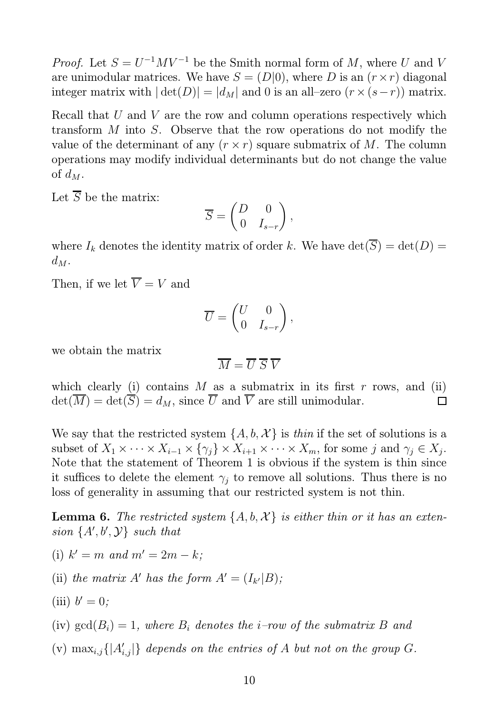*Proof.* Let  $S = U^{-1}MV^{-1}$  be the Smith normal form of M, where U and V are unimodular matrices. We have  $S = (D|0)$ , where D is an  $(r \times r)$  diagonal integer matrix with  $|\det(D)| = |d_M|$  and 0 is an all–zero  $(r \times (s-r))$  matrix.

Recall that U and V are the row and column operations respectively which transform M into S. Observe that the row operations do not modify the value of the determinant of any  $(r \times r)$  square submatrix of M. The column operations may modify individual determinants but do not change the value of  $d_M$ .

Let  $\overline{S}$  be the matrix:

$$
\overline{S} = \begin{pmatrix} D & 0 \\ 0 & I_{s-r} \end{pmatrix},
$$

where  $I_k$  denotes the identity matrix of order k. We have  $\det(\overline{S}) = \det(D) =$  $d_M$ .

Then, if we let  $\overline{V} = V$  and

$$
\overline{U} = \begin{pmatrix} U & 0 \\ 0 & I_{s-r} \end{pmatrix},
$$

we obtain the matrix

$$
\overline{M} = \overline{U} \ \overline{S} \ \overline{V}
$$

which clearly (i) contains  $M$  as a submatrix in its first  $r$  rows, and (ii)  $\det(\overline{M}) = \det(\overline{S}) = d_M$ , since  $\overline{U}$  and  $\overline{V}$  are still unimodular.  $\Box$ 

We say that the restricted system  $\{A, b, \mathcal{X}\}\$ is thin if the set of solutions is a subset of  $X_1 \times \cdots \times X_{i-1} \times \{\gamma_j\} \times X_{i+1} \times \cdots \times X_m$ , for some j and  $\gamma_j \in X_j$ . Note that the statement of Theorem 1 is obvious if the system is thin since it suffices to delete the element  $\gamma_i$  to remove all solutions. Thus there is no loss of generality in assuming that our restricted system is not thin.

**Lemma 6.** The restricted system  $\{A, b, \mathcal{X}\}\$ is either thin or it has an extension  $\{A', b', Y\}$  such that

- (i)  $k' = m$  and  $m' = 2m k;$
- (ii) the matrix A' has the form  $A' = (I_{k'}|B)$ ;
- (iii)  $b' = 0$ ;

(iv)  $gcd(B_i) = 1$ , where  $B_i$  denotes the *i*-row of the submatrix B and

(v)  $\max_{i,j} \{|A'_{i,j}|\}$  depends on the entries of A but not on the group G.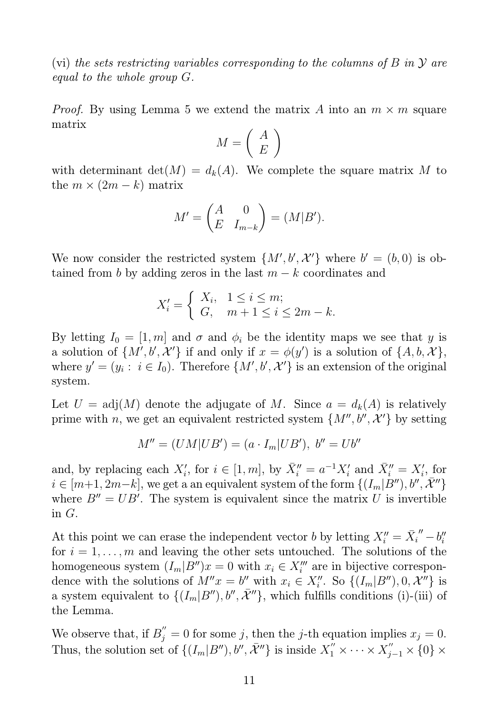(vi) the sets restricting variables corresponding to the columns of B in  $\mathcal Y$  are equal to the whole group G.

*Proof.* By using Lemma 5 we extend the matrix A into an  $m \times m$  square matrix

$$
M = \left(\begin{array}{c} A \\ E \end{array}\right)
$$

with determinant  $det(M) = d_k(A)$ . We complete the square matrix M to the  $m \times (2m - k)$  matrix

$$
M' = \begin{pmatrix} A & 0 \\ E & I_{m-k} \end{pmatrix} = (M|B').
$$

We now consider the restricted system  $\{M', b', \mathcal{X}'\}$  where  $b' = (b, 0)$  is obtained from b by adding zeros in the last  $m - k$  coordinates and

$$
X'_{i} = \begin{cases} X_{i}, & 1 \le i \le m; \\ G, & m+1 \le i \le 2m - k. \end{cases}
$$

By letting  $I_0 = [1, m]$  and  $\sigma$  and  $\phi_i$  be the identity maps we see that y is a solution of  $\{M', b', \mathcal{X}'\}$  if and only if  $x = \phi(y')$  is a solution of  $\{A, b, \mathcal{X}\},$ where  $y' = (y_i : i \in I_0)$ . Therefore  $\{M', b', \mathcal{X}'\}$  is an extension of the original system.

Let  $U = adj(M)$  denote the adjugate of M. Since  $a = d_k(A)$  is relatively prime with n, we get an equivalent restricted system  $\{M'', b'', \mathcal{X}'\}$  by setting

$$
M'' = (UM|UB') = (a \cdot I_m|UB'), b'' = Ub''
$$

and, by replacing each  $X'_i$ , for  $i \in [1, m]$ , by  $\bar{X}''_i = a^{-1} X'_i$  and  $\bar{X}''_i = X'_i$ , for  $i \in [m+1, 2m-k],$  we get a an equivalent system of the form  $\{(I_m|\tilde{B}''), b'', \tilde{\mathcal{X}}''\}$ where  $B'' = UB'$ . The system is equivalent since the matrix U is invertible in G.

At this point we can erase the independent vector b by letting  $X_i'' = \overline{X_i}'' - b_i''$ i for  $i = 1, \ldots, m$  and leaving the other sets untouched. The solutions of the homogeneous system  $(I_m | B'')x = 0$  with  $x_i \in X''_i$  are in bijective correspondence with the solutions of  $M''x = b''$  with  $x_i \in X''_i$ . So  $\{(I_m|B''), 0, \mathcal{X}^N\}$  is a system equivalent to  $\{(I_m|B''), b'', \bar{X}''\}$ , which fulfills conditions (i)-(iii) of the Lemma.

We observe that, if  $B''_j = 0$  for some j, then the j-th equation implies  $x_j = 0$ . Thus, the solution set of  $\{(I_m|B''), b'', \bar{X}''\}$  is inside  $X_1'' \times \cdots \times X_{j-1}'' \times \{0\} \times$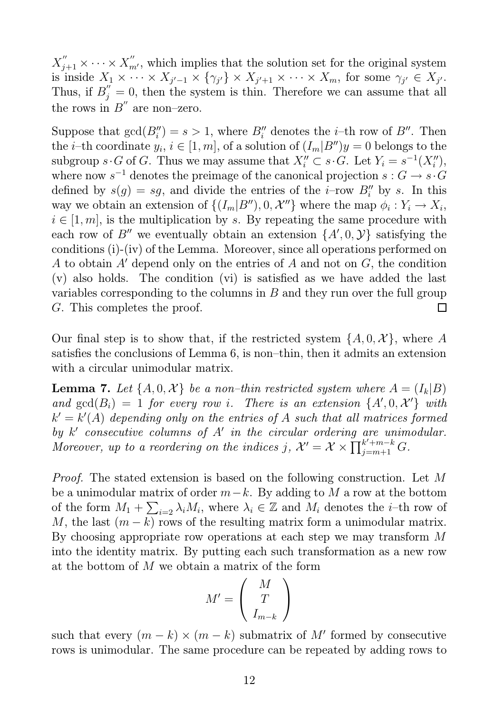$X''_{j+1} \times \cdots \times X''_{m'}$ , which implies that the solution set for the original system is inside  $X_1 \times \cdots \times X_{j'-1} \times \{\gamma_{j'}\} \times X_{j'+1} \times \cdots \times X_m$ , for some  $\gamma_{j'} \in X_{j'}$ . Thus, if  $B_j^{''}=0$ , then the system is thin. Therefore we can assume that all the rows in  $B''$  are non-zero.

Suppose that  $gcd(B_i'') = s > 1$ , where  $B_i''$  denotes the *i*-th row of  $B''$ . Then the *i*-th coordinate  $y_i, i \in [1, m]$ , of a solution of  $(I_m|B'')y = 0$  belongs to the subgroup  $s \cdot G$  of G. Thus we may assume that  $X''_i \subset s \cdot G$ . Let  $Y_i = s^{-1}(X''_i)$ , where now  $s^{-1}$  denotes the preimage of the canonical projection  $s: G \to s \cdot G$ defined by  $s(g) = sg$ , and divide the entries of the *i*-row  $B''_i$  by *s*. In this way we obtain an extension of  $\{(I_m|B''), 0, \mathcal{X}''\}$  where the map  $\phi_i: Y_i \to X_i$ ,  $i \in [1, m]$ , is the multiplication by s. By repeating the same procedure with each row of B'' we eventually obtain an extension  $\{A', 0, Y\}$  satisfying the conditions (i)-(iv) of the Lemma. Moreover, since all operations performed on A to obtain A′ depend only on the entries of A and not on G, the condition (v) also holds. The condition (vi) is satisfied as we have added the last variables corresponding to the columns in  $B$  and they run over the full group G. This completes the proof.  $\Box$ 

Our final step is to show that, if the restricted system  $\{A, 0, \mathcal{X}\}\,$  where A satisfies the conclusions of Lemma 6, is non–thin, then it admits an extension with a circular unimodular matrix.

**Lemma 7.** Let  $\{A, 0, \mathcal{X}\}\$ be a non-thin restricted system where  $A = (I_k | B)$ and  $gcd(B_i) = 1$  for every row i. There is an extension  $\{A', 0, \mathcal{X'}\}$  with  $k' = k'(A)$  depending only on the entries of A such that all matrices formed by k' consecutive columns of A' in the circular ordering are unimodular. Moreover, up to a reordering on the indices j,  $\mathcal{X}' = \mathcal{X} \times \prod_{j=m+1}^{k'+m-k} G$ .

Proof. The stated extension is based on the following construction. Let M be a unimodular matrix of order  $m-k$ . By adding to M a row at the bottom of the form  $M_1 + \sum_{i=2} \lambda_i M_i$ , where  $\lambda_i \in \mathbb{Z}$  and  $M_i$  denotes the *i*-th row of M, the last  $(m - k)$  rows of the resulting matrix form a unimodular matrix. By choosing appropriate row operations at each step we may transform M into the identity matrix. By putting each such transformation as a new row at the bottom of M we obtain a matrix of the form

$$
M' = \left(\begin{array}{c} M \\ T \\ I_{m-k} \end{array}\right)
$$

such that every  $(m - k) \times (m - k)$  submatrix of M' formed by consecutive rows is unimodular. The same procedure can be repeated by adding rows to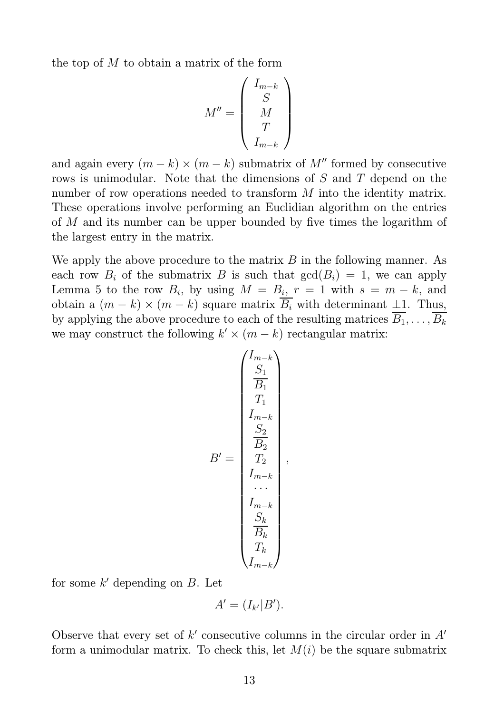the top of  $M$  to obtain a matrix of the form

$$
M'' = \begin{pmatrix} I_{m-k} \\ S \\ M \\ T \\ I_{m-k} \end{pmatrix}
$$

and again every  $(m - k) \times (m - k)$  submatrix of M'' formed by consecutive rows is unimodular. Note that the dimensions of S and T depend on the number of row operations needed to transform M into the identity matrix. These operations involve performing an Euclidian algorithm on the entries of M and its number can be upper bounded by five times the logarithm of the largest entry in the matrix.

We apply the above procedure to the matrix  $B$  in the following manner. As each row  $B_i$  of the submatrix B is such that  $gcd(B_i) = 1$ , we can apply Lemma 5 to the row  $B_i$ , by using  $M = B_i$ ,  $r = 1$  with  $s = m - k$ , and obtain a  $(m - k) \times (m - k)$  square matrix  $\overline{B_i}$  with determinant  $\pm 1$ . Thus, by applying the above procedure to each of the resulting matrices  $\overline{B_1}, \ldots, \overline{B_k}$ we may construct the following  $k' \times (m - k)$  rectangular matrix:

$$
B' = \begin{pmatrix} I_{m-k} \\ S_1 \\ \frac{S_1}{B_1} \\ T_1 \\ \frac{S_2}{B_2} \\ \frac{S_2}{B_2} \\ \dots \\ \frac{S_k}{B_k} \\ \frac{S_k}{B_k} \\ T_k \\ \frac{S_k}{B_k} \\ T_k \\ \frac{S_k}{B_k} \\ T_k \\ \frac{S_k}{B_k} \\ \frac{S_k}{B_k} \\ \frac{S_k}{B_k} \\ \frac{S_k}{B_k} \\ \frac{S_k}{B_k} \\ \frac{S_k}{B_k} \\ \frac{S_k}{B_k} \\ \frac{S_k}{B_k} \\ \frac{S_k}{B_k} \\ \frac{S_k}{B_k} \\ \frac{S_k}{B_k} \\ \frac{S_k}{B_k} \\ \frac{S_k}{B_k} \\ \frac{S_k}{B_k} \\ \frac{S_k}{B_k} \\ \frac{S_k}{B_k} \\ \frac{S_k}{B_k} \\ \frac{S_k}{B_k} \\ \frac{S_k}{B_k} \\ \frac{S_k}{B_k} \\ \frac{S_k}{B_k} \\ \frac{S_k}{B_k} \\ \frac{S_k}{B_k} \\ \frac{S_k}{B_k} \\ \frac{S_k}{B_k} \\ \frac{S_k}{B_k} \\ \frac{S_k}{B_k} \\ \frac{S_k}{B_k} \\ \frac{S_k}{B_k} \\ \frac{S_k}{B_k} \\ \frac{S_k}{B_k} \\ \frac{S_k}{B_k} \\ \frac{S_k}{B_k} \\ \frac{S_k}{B_k} \\ \frac{S_k}{B_k} \\ \frac{S_k}{B_k} \\ \frac{S_k}{B_k} \\ \frac{S_k}{B_k} \\ \frac{S_k}{B_k} \\ \frac{S_k}{B_k} \\ \frac{S_k}{B_k} \\ \frac{S_k}{B_k} \\ \frac{S_k}{B_k} \\ \frac{S_k}{B_k} \\ \frac{S_k}{B_k} \\ \frac{S_k}{B_k} \\ \frac{S_k}{B_k} \\ \frac{S_k}{B_k} \\ \frac{S_k}{B_k} \\ \frac{S_k}{B_k} \\ \frac{S_k}{B_k} \\ \frac{S_k}{B_k} \\ \frac{S_k}{B_k} \\ \frac{S_k}{B_k} \\ \frac{S_k}{B_k} \\ \frac{S_k}{B_k} \\ \frac{S_k}{B_k} \\ \frac{S_k}{B_k} \\ \frac{S_k}{B_k} \\ \frac{S_k}{B_k} \\ \frac{S_k}{B_k} \\ \frac{S_k}{B_k} \\ \frac{S_k}{B_k} \\ \frac{S_k}{B_k} \\ \frac{S_k}{B_k
$$

for some  $k'$  depending on  $B$ . Let

$$
A'=(I_{k'}|B').
$$

Observe that every set of  $k'$  consecutive columns in the circular order in  $A'$ form a unimodular matrix. To check this, let  $M(i)$  be the square submatrix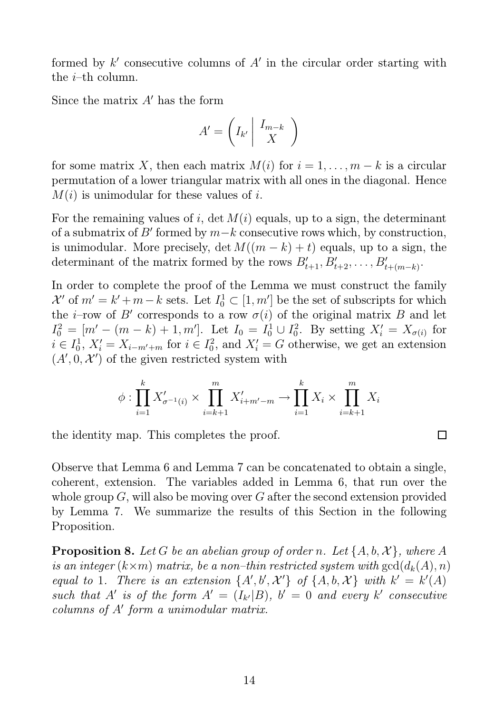formed by  $k'$  consecutive columns of  $A'$  in the circular order starting with the  $i$ -th column.

Since the matrix  $A'$  has the form

$$
A' = \left( I_{k'} \middle| \begin{array}{c} I_{m-k} \\ X \end{array} \right)
$$

for some matrix X, then each matrix  $M(i)$  for  $i = 1, \ldots, m - k$  is a circular permutation of a lower triangular matrix with all ones in the diagonal. Hence  $M(i)$  is unimodular for these values of i.

For the remaining values of i, det  $M(i)$  equals, up to a sign, the determinant of a submatrix of B' formed by  $m-k$  consecutive rows which, by construction, is unimodular. More precisely, det  $M((m - k) + t)$  equals, up to a sign, the determinant of the matrix formed by the rows  $B'_{t+1}, B'_{t+2}, \ldots, B'_{t+(m-k)}$ .

In order to complete the proof of the Lemma we must construct the family  $\mathcal{X}'$  of  $m' = k' + m - k$  sets. Let  $I_0^1 \subset [1, m']$  be the set of subscripts for which the *i*-row of B' corresponds to a row  $\sigma(i)$  of the original matrix B and let  $I_0^2 = [m' - (m - k) + 1, m']$ . Let  $I_0 = I_0^1 \cup I_0^2$ <sup>2</sup><sub>0</sub>. By setting  $X'_i = X_{\sigma(i)}$  for  $i \in I_0^1$  $\sum_{i=0}^{1} X'_{i} = X_{i-m'+m}$  for  $i \in I_0^2$  $X_i^2 = G$  otherwise, we get an extension  $(A', 0, \mathcal{X}')$  of the given restricted system with

$$
\phi: \prod_{i=1}^{k} X'_{\sigma^{-1}(i)} \times \prod_{i=k+1}^{m} X'_{i+m'-m} \to \prod_{i=1}^{k} X_i \times \prod_{i=k+1}^{m} X_i
$$

 $\Box$ 

the identity map. This completes the proof.

Observe that Lemma 6 and Lemma 7 can be concatenated to obtain a single, coherent, extension. The variables added in Lemma 6, that run over the whole group  $G$ , will also be moving over  $G$  after the second extension provided by Lemma 7. We summarize the results of this Section in the following Proposition.

**Proposition 8.** Let G be an abelian group of order n. Let  $\{A, b, \mathcal{X}\}\$ , where A is an integer  $(k \times m)$  matrix, be a non-thin restricted system with  $gcd(d_k(A), n)$ equal to 1. There is an extension  $\{A', b', \mathcal{X'}\}$  of  $\{A, b, \mathcal{X}\}$  with  $k' = k'(A)$ such that A' is of the form  $A' = (I_{k'}|B)$ ,  $b' = 0$  and every k' consecutive columns of  $A'$  form a unimodular matrix.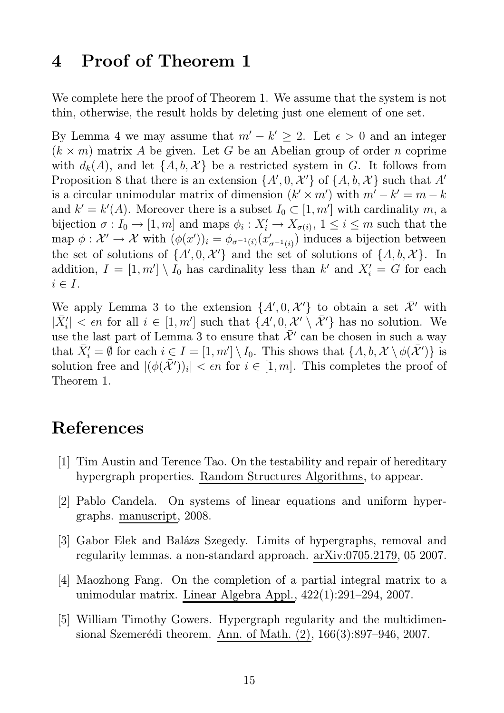### 4 Proof of Theorem 1

We complete here the proof of Theorem 1. We assume that the system is not thin, otherwise, the result holds by deleting just one element of one set.

By Lemma 4 we may assume that  $m' - k' \geq 2$ . Let  $\epsilon > 0$  and an integer  $(k \times m)$  matrix A be given. Let G be an Abelian group of order n coprime with  $d_k(A)$ , and let  $\{A, b, \mathcal{X}\}\$ be a restricted system in G. It follows from Proposition 8 that there is an extension  $\{A', 0, \mathcal{X'}\}$  of  $\{A, b, \mathcal{X}\}$  such that A' is a circular unimodular matrix of dimension  $(k' \times m')$  with  $m' - k' = m - k$ and  $k' = k'(A)$ . Moreover there is a subset  $I_0 \subset [1, m']$  with cardinality m, a bijection  $\sigma: I_0 \to [1, m]$  and maps  $\phi_i: X'_i \to X_{\sigma(i)}$ ,  $1 \leq i \leq m$  such that the  $\text{map} \,\, \phi: \mathcal{X}' \to \mathcal{X} \,\, \text{with} \,\, (\phi(x'))_i = \phi_{\sigma^{-1}(i)}(x'_i)$  $\mathcal{L}_{\sigma^{-1}(i)}$ ) induces a bijection between the set of solutions of  $\{A', 0, \mathcal{X'}\}$  and the set of solutions of  $\{A, b, \mathcal{X}\}$ . In addition,  $I = [1, m'] \setminus I_0$  has cardinality less than k' and  $X'_i = G$  for each  $i \in I$ .

We apply Lemma 3 to the extension  $\{A', 0, \mathcal{X'}\}$  to obtain a set  $\overline{\mathcal{X}}'$  with  $|\bar{X}'_i| < \epsilon n$  for all  $i \in [1, m']$  such that  $\{A', 0, \mathcal{X}' \setminus \bar{\mathcal{X}}'\}$  has no solution. We use the last part of Lemma 3 to ensure that  $\bar{\mathcal{X}}'$  can be chosen in such a way that  $\bar{X}'_i = \emptyset$  for each  $i \in I = [1, m'] \setminus I_0$ . This shows that  $\{A, b, \mathcal{X} \setminus \phi(\bar{\mathcal{X}'})\}$  is solution free and  $|(\phi(\bar{\mathcal{X}}'))_i| < \epsilon n$  for  $i \in [1, m]$ . This completes the proof of Theorem 1.

# References

- [1] Tim Austin and Terence Tao. On the testability and repair of hereditary hypergraph properties. Random Structures Algorithms, to appear.
- [2] Pablo Candela. On systems of linear equations and uniform hypergraphs. manuscript, 2008.
- [3] Gabor Elek and Balázs Szegedy. Limits of hypergraphs, removal and regularity lemmas. a non-standard approach. arXiv:0705.2179, 05 2007.
- [4] Maozhong Fang. On the completion of a partial integral matrix to a unimodular matrix. Linear Algebra Appl., 422(1):291–294, 2007.
- [5] William Timothy Gowers. Hypergraph regularity and the multidimensional Szemerédi theorem. Ann. of Math. (2), 166(3):897–946, 2007.